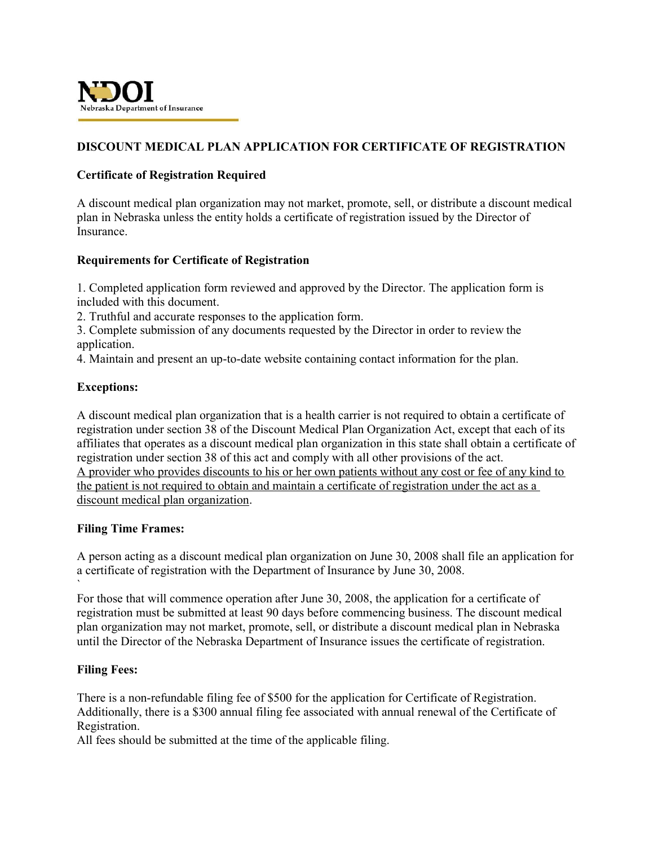

# **DISCOUNT MEDICAL PLAN APPLICATION FOR CERTIFICATE OF REGISTRATION**

## **Certificate of Registration Required**

A discount medical plan organization may not market, promote, sell, or distribute a discount medical plan in Nebraska unless the entity holds a certificate of registration issued by the Director of Insurance.

## **Requirements for Certificate of Registration**

1. Completed application form reviewed and approved by the Director. The application form is included with this document.

2. Truthful and accurate responses to the application form.

3. Complete submission of any documents requested by the Director in order to review the application.

4. Maintain and present an up-to-date website containing contact information for the plan.

## **Exceptions:**

A discount medical plan organization that is a health carrier is not required to obtain a certificate of registration under section 38 of the Discount Medical Plan Organization Act, except that each of its affiliates that operates as a discount medical plan organization in this state shall obtain a certificate of registration under section 38 of this act and comply with all other provisions of the act. A provider who provides discounts to his or her own patients without any cost or fee of any kind to the patient is not required to obtain and maintain a certificate of registration under the act as a discount medical plan organization.

#### **Filing Time Frames:**

A person acting as a discount medical plan organization on June 30, 2008 shall file an application for a certificate of registration with the Department of Insurance by June 30, 2008.

` For those that will commence operation after June 30, 2008, the application for a certificate of registration must be submitted at least 90 days before commencing business. The discount medical plan organization may not market, promote, sell, or distribute a discount medical plan in Nebraska until the Director of the Nebraska Department of Insurance issues the certificate of registration.

#### **Filing Fees:**

There is a non-refundable filing fee of \$500 for the application for Certificate of Registration. Additionally, there is a \$300 annual filing fee associated with annual renewal of the Certificate of Registration.

All fees should be submitted at the time of the applicable filing.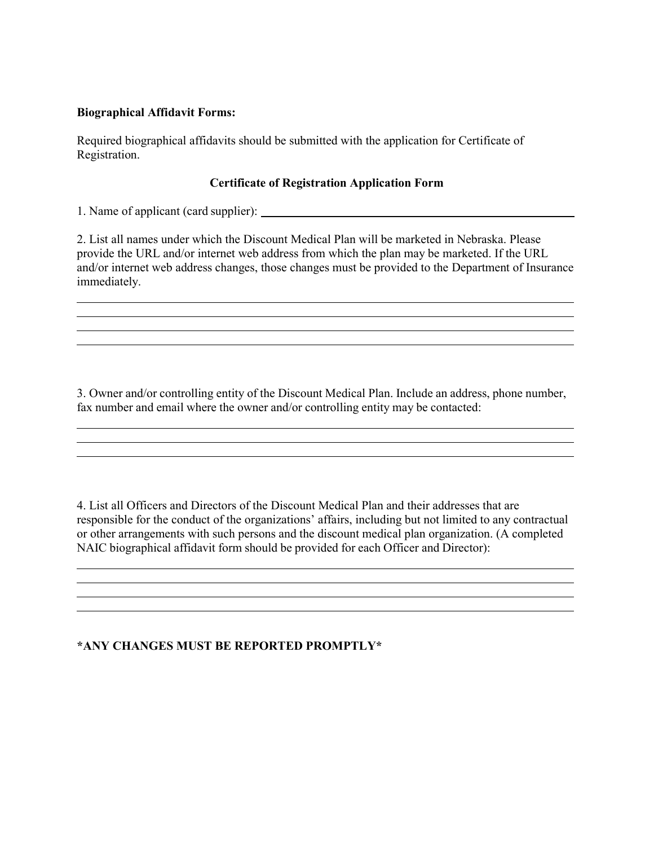## **Biographical Affidavit Forms:**

Required biographical affidavits should be submitted with the application for Certificate of Registration.

#### **Certificate of Registration Application Form**

1. Name of applicant (card supplier):

2. List all names under which the Discount Medical Plan will be marketed in Nebraska. Please provide the URL and/or internet web address from which the plan may be marketed. If the URL and/or internet web address changes, those changes must be provided to the Department of Insurance immediately.

<u> 1989 - Johann Stoff, amerikansk politiker (d. 1989)</u> <u> 1999 - Johann Stoff, amerikansk politiker (d. 1989)</u>

3. Owner and/or controlling entity of the Discount Medical Plan. Include an address, phone number, fax number and email where the owner and/or controlling entity may be contacted:

4. List all Officers and Directors of the Discount Medical Plan and their addresses that are responsible for the conduct of the organizations' affairs, including but not limited to any contractual or other arrangements with such persons and the discount medical plan organization. (A completed NAIC biographical affidavit form should be provided for each Officer and Director):

> <u> 1989 - Johann Stoff, amerikansk politiker (d. 1989)</u>

## **\*ANY CHANGES MUST BE REPORTED PROMPTLY\***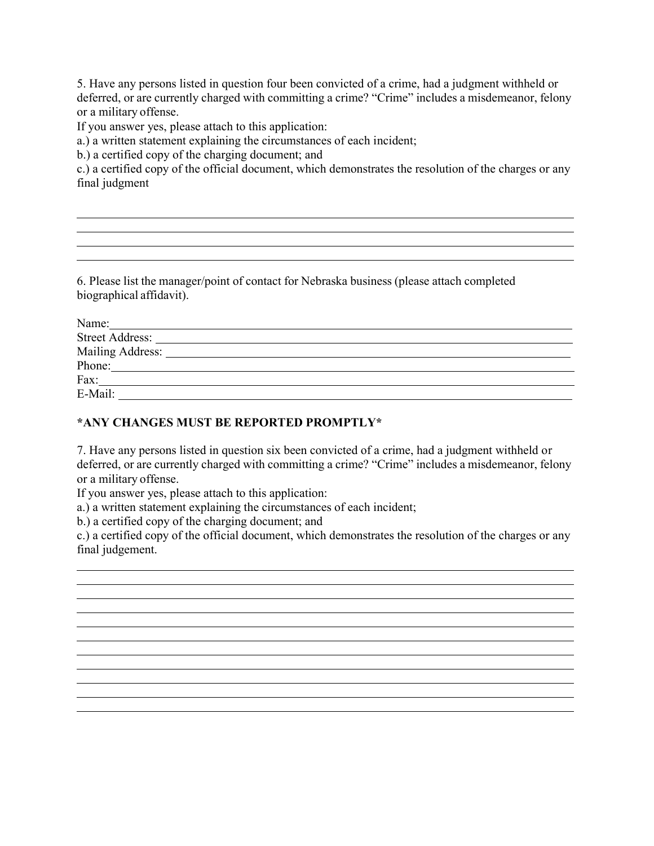5. Have any persons listed in question four been convicted of a crime, had a judgment withheld or deferred, or are currently charged with committing a crime? "Crime" includes a misdemeanor, felony or a military offense.

If you answer yes, please attach to this application:

a.) a written statement explaining the circumstances of each incident;

b.) a certified copy of the charging document; and

c.) a certified copy of the official document, which demonstrates the resolution of the charges or any final judgment

<u> 1989 - Andrea Santa Andrea Santa Andrea Santa Andrea Santa Andrea Santa Andrea Santa Andrea Santa Andrea San</u> <u> 1989 - Johann Stoff, amerikansk politiker (\* 1908)</u>

6. Please list the manager/point of contact for Nebraska business (please attach completed biographical affidavit).

| Name:                  |                                                                                                                                                                                                                                      |  |  |
|------------------------|--------------------------------------------------------------------------------------------------------------------------------------------------------------------------------------------------------------------------------------|--|--|
| <b>Street Address:</b> | <u>and the state of the state of the state of the state of the state of the state of the state of the state of the state of the state of the state of the state of the state of the state of the state of the state of the state</u> |  |  |
|                        |                                                                                                                                                                                                                                      |  |  |
| Phone:                 |                                                                                                                                                                                                                                      |  |  |
| Fax:                   |                                                                                                                                                                                                                                      |  |  |
| E-Mail:                |                                                                                                                                                                                                                                      |  |  |

# **\*ANY CHANGES MUST BE REPORTED PROMPTLY\***

7. Have any persons listed in question six been convicted of a crime, had a judgment withheld or deferred, or are currently charged with committing a crime? "Crime" includes a misdemeanor, felony or a military offense.

If you answer yes, please attach to this application:

a.) a written statement explaining the circumstances of each incident;

b.) a certified copy of the charging document; and

c.) a certified copy of the official document, which demonstrates the resolution of the charges or any final judgement.

<u> 1989 - Johann Stoff, amerikansk politiker (d. 1989)</u> <u> 1989 - Johann Stoff, amerikansk politiker (\* 1908)</u> and the control of the control of the control of the control of the control of the control of the control of the 

<u> 1989 - Johann Stoff, amerikansk politiker (\* 1908)</u> <u> 1989 - Johann Stoff, amerikansk politiker (d. 1989)</u> <u> 1989 - Johann Stoff, deutscher Stoffen und der Stoffen und der Stoffen und der Stoffen und der Stoffen und der</u>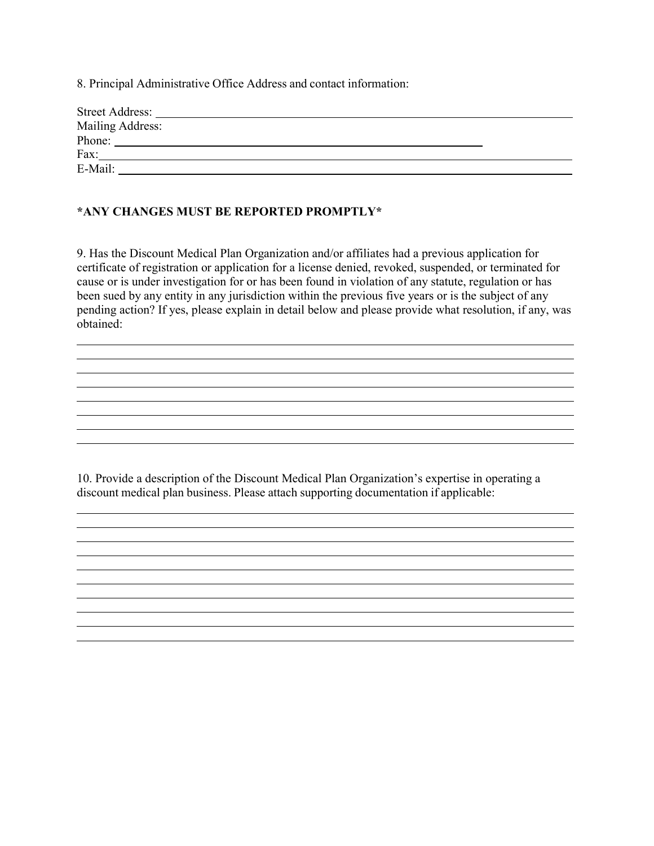8. Principal Administrative Office Address and contact information:

| <b>Street Address:</b> |  |
|------------------------|--|
| Mailing Address:       |  |
| Phone:                 |  |
| Fax:                   |  |
| E-Mail:                |  |

## **\*ANY CHANGES MUST BE REPORTED PROMPTLY\***

9. Has the Discount Medical Plan Organization and/or affiliates had a previous application for certificate of registration or application for a license denied, revoked, suspended, or terminated for cause or is under investigation for or has been found in violation of any statute, regulation or has been sued by any entity in any jurisdiction within the previous five years or is the subject of any pending action? If yes, please explain in detail below and please provide what resolution, if any, was obtained:

<u> 1989 - Johann Stoff, amerikansk politiker (d. 1989)</u>

<u> 1989 - Johann Stoff, amerikansk politiker (d. 1989)</u> and the control of the control of the control of the control of the control of the control of the control of the <u> 1989 - Andrea Santa Alemania, amerikana amerikana amerikana amerikana amerikana amerikana amerikana amerikan</u>

<u> 1989 - Johann Stoff, amerikansk politiker (\* 1908)</u>

<u> 1989 - Johann Stoff, amerikansk politiker (\* 1908)</u> and the control of the control of the control of the control of the control of the control of the control of the

10. Provide a description of the Discount Medical Plan Organization's expertise in operating a discount medical plan business. Please attach supporting documentation if applicable: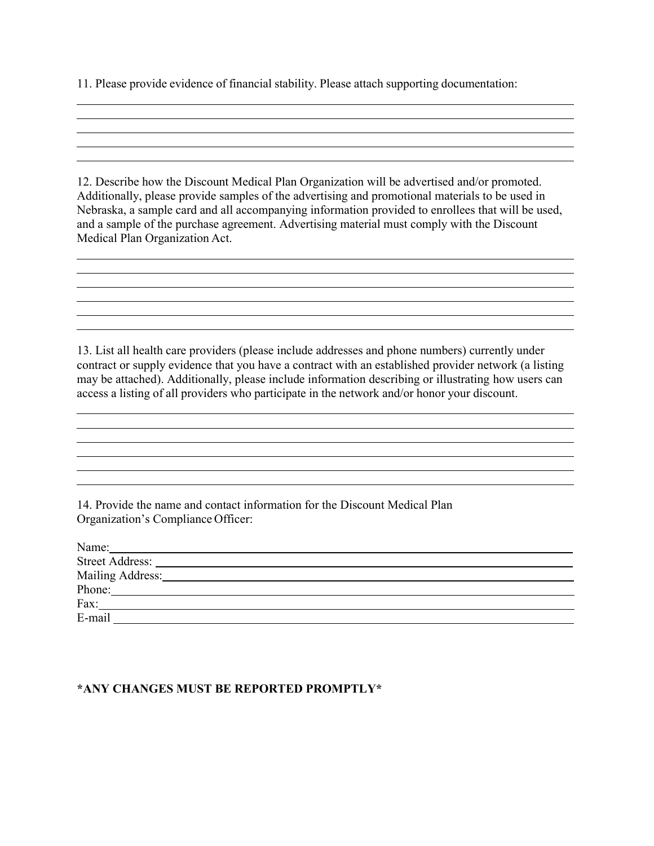11. Please provide evidence of financial stability. Please attach supporting documentation:

12. Describe how the Discount Medical Plan Organization will be advertised and/or promoted. Additionally, please provide samples of the advertising and promotional materials to be used in Nebraska, a sample card and all accompanying information provided to enrollees that will be used, and a sample of the purchase agreement. Advertising material must comply with the Discount Medical Plan Organization Act.

<u> 1989 - Johann Stoff, amerikansk politiker (d. 1989)</u> <u> 1989 - Johann Stoff, amerikansk politiker (\* 1908)</u>

13. List all health care providers (please include addresses and phone numbers) currently under contract or supply evidence that you have a contract with an established provider network (a listing may be attached). Additionally, please include information describing or illustrating how users can access a listing of all providers who participate in the network and/or honor your discount.

<u> 1989 - Johann Stoff, amerikansk politiker (d. 1989)</u> <u> 1989 - Andrea Santa Alemania, amerikana amerikana amerikana amerikana amerikana amerikana amerikana amerikan</u> <u> 1989 - Johann Stoff, amerikansk politiker (d. 1989)</u>

14. Provide the name and contact information for the Discount Medical Plan Organization's Compliance Officer:

| Name:                  |  |  |
|------------------------|--|--|
| <b>Street Address:</b> |  |  |
| Mailing Address:       |  |  |
| Phone:                 |  |  |
| Fax:                   |  |  |
| E-mail                 |  |  |

#### **\*ANY CHANGES MUST BE REPORTED PROMPTLY\***